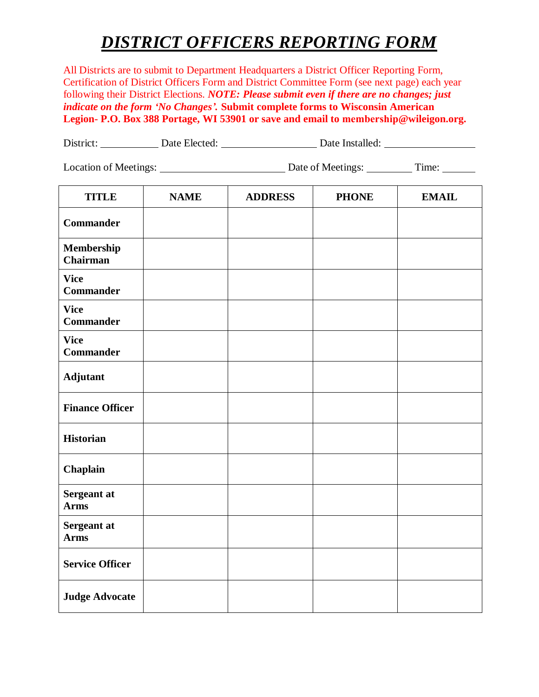## *DISTRICT OFFICERS REPORTING FORM*

All Districts are to submit to Department Headquarters a District Officer Reporting Form, Certification of District Officers Form and District Committee Form (see next page) each year following their District Elections. *NOTE: Please submit even if there are no changes; just indicate on the form 'No Changes'.* **Submit complete forms to Wisconsin American**  Legion- P.O. Box 388 Portage, WI 53901 or save and email to membership @wileigon.org.

District: Date Elected: District: Date Elected: Date Installed: Date Installed:

| <b>Location of Meetings:</b> | Date of Meetings: | ime: |
|------------------------------|-------------------|------|
|                              |                   |      |

| <b>TITLE</b>                    | <b>NAME</b> | <b>ADDRESS</b> | <b>PHONE</b> | <b>EMAIL</b> |
|---------------------------------|-------------|----------------|--------------|--------------|
| <b>Commander</b>                |             |                |              |              |
| Membership<br><b>Chairman</b>   |             |                |              |              |
| <b>Vice</b><br><b>Commander</b> |             |                |              |              |
| <b>Vice</b><br><b>Commander</b> |             |                |              |              |
| <b>Vice</b><br><b>Commander</b> |             |                |              |              |
| Adjutant                        |             |                |              |              |
| <b>Finance Officer</b>          |             |                |              |              |
| <b>Historian</b>                |             |                |              |              |
| Chaplain                        |             |                |              |              |
| Sergeant at<br><b>Arms</b>      |             |                |              |              |
| Sergeant at<br><b>Arms</b>      |             |                |              |              |
| <b>Service Officer</b>          |             |                |              |              |
| <b>Judge Advocate</b>           |             |                |              |              |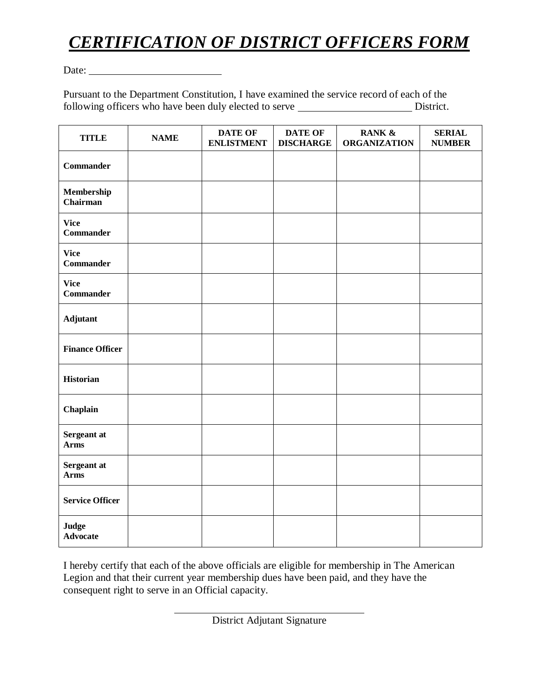## *CERTIFICATION OF DISTRICT OFFICERS FORM*

Date:

Pursuant to the Department Constitution, I have examined the service record of each of the following officers who have been duly elected to serve District.

| <b>TITLE</b>                    | <b>NAME</b> | <b>DATE OF</b><br><b>ENLISTMENT</b> | <b>DATE OF</b><br><b>DISCHARGE</b> | RANK &<br><b>ORGANIZATION</b> | <b>SERIAL</b><br><b>NUMBER</b> |
|---------------------------------|-------------|-------------------------------------|------------------------------------|-------------------------------|--------------------------------|
| <b>Commander</b>                |             |                                     |                                    |                               |                                |
| Membership<br><b>Chairman</b>   |             |                                     |                                    |                               |                                |
| <b>Vice</b><br><b>Commander</b> |             |                                     |                                    |                               |                                |
| <b>Vice</b><br><b>Commander</b> |             |                                     |                                    |                               |                                |
| <b>Vice</b><br><b>Commander</b> |             |                                     |                                    |                               |                                |
| Adjutant                        |             |                                     |                                    |                               |                                |
| <b>Finance Officer</b>          |             |                                     |                                    |                               |                                |
| <b>Historian</b>                |             |                                     |                                    |                               |                                |
| Chaplain                        |             |                                     |                                    |                               |                                |
| Sergeant at<br><b>Arms</b>      |             |                                     |                                    |                               |                                |
| Sergeant at<br><b>Arms</b>      |             |                                     |                                    |                               |                                |
| <b>Service Officer</b>          |             |                                     |                                    |                               |                                |
| <b>Judge</b><br><b>Advocate</b> |             |                                     |                                    |                               |                                |

I hereby certify that each of the above officials are eligible for membership in The American Legion and that their current year membership dues have been paid, and they have the consequent right to serve in an Official capacity.

 $\overline{a}$ 

District Adjutant Signature